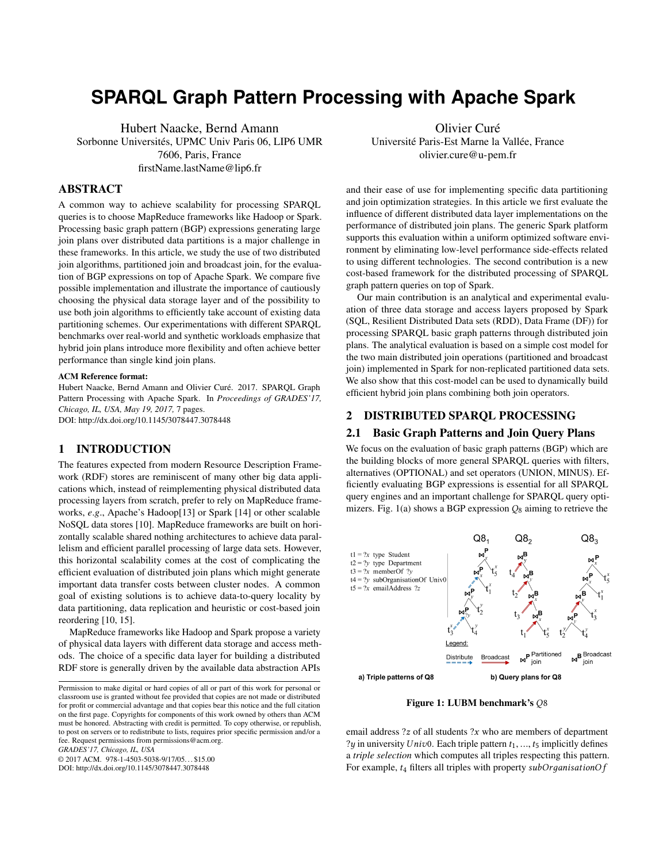# **SPARQL Graph Pattern Processing with Apache Spark**

Hubert Naacke, Bernd Amann Sorbonne Universités, UPMC Univ Paris 06, LIP6 UMR 7606, Paris, France firstName.lastName@lip6.fr

## ABSTRACT

A common way to achieve scalability for processing SPARQL queries is to choose MapReduce frameworks like Hadoop or Spark. Processing basic graph pattern (BGP) expressions generating large join plans over distributed data partitions is a major challenge in these frameworks. In this article, we study the use of two distributed join algorithms, partitioned join and broadcast join, for the evaluation of BGP expressions on top of Apache Spark. We compare five possible implementation and illustrate the importance of cautiously choosing the physical data storage layer and of the possibility to use both join algorithms to efficiently take account of existing data partitioning schemes. Our experimentations with different SPARQL benchmarks over real-world and synthetic workloads emphasize that hybrid join plans introduce more flexibility and often achieve better performance than single kind join plans.

#### ACM Reference format:

Hubert Naacke, Bernd Amann and Olivier Curé. 2017. SPARQL Graph Pattern Processing with Apache Spark. In *Proceedings of GRADES'17, Chicago, IL, USA, May 19, 2017,* [7](#page-6-0) pages. DOI: http://dx.doi.org/10.1145/3078447.3078448

## 1 INTRODUCTION

The features expected from modern Resource Description Framework (RDF) stores are reminiscent of many other big data applications which, instead of reimplementing physical distributed data processing layers from scratch, prefer to rely on MapReduce frameworks, *e*.*g*., Apache's Hadoop[\[13\]](#page-5-0) or Spark [\[14\]](#page-5-1) or other scalable NoSQL data stores [\[10\]](#page-5-2). MapReduce frameworks are built on horizontally scalable shared nothing architectures to achieve data parallelism and efficient parallel processing of large data sets. However, this horizontal scalability comes at the cost of complicating the efficient evaluation of distributed join plans which might generate important data transfer costs between cluster nodes. A common goal of existing solutions is to achieve data-to-query locality by data partitioning, data replication and heuristic or cost-based join reordering [\[10,](#page-5-2) [15\]](#page-5-3).

MapReduce frameworks like Hadoop and Spark propose a variety of physical data layers with different data storage and access methods. The choice of a specific data layer for building a distributed RDF store is generally driven by the available data abstraction APIs

*GRADES'17, Chicago, IL, USA*

© 2017 ACM. 978-1-4503-5038-9/17/05. . . \$15.00

DOI: http://dx.doi.org/10.1145/3078447.3078448

Olivier Curé

Université Paris-Est Marne la Vallée, France olivier.cure@u-pem.fr

and their ease of use for implementing specific data partitioning and join optimization strategies. In this article we first evaluate the influence of different distributed data layer implementations on the performance of distributed join plans. The generic Spark platform supports this evaluation within a uniform optimized software environment by eliminating low-level performance side-effects related to using different technologies. The second contribution is a new cost-based framework for the distributed processing of SPARQL graph pattern queries on top of Spark.

Our main contribution is an analytical and experimental evaluation of three data storage and access layers proposed by Spark (SQL, Resilient Distributed Data sets (RDD), Data Frame (DF)) for processing SPARQL basic graph patterns through distributed join plans. The analytical evaluation is based on a simple cost model for the two main distributed join operations (partitioned and broadcast join) implemented in Spark for non-replicated partitioned data sets. We also show that this cost-model can be used to dynamically build efficient hybrid join plans combining both join operators.

#### <span id="page-0-1"></span>2 DISTRIBUTED SPARQL PROCESSING

#### 2.1 Basic Graph Patterns and Join Query Plans

We focus on the evaluation of basic graph patterns (BGP) which are the building blocks of more general SPARQL queries with filters, alternatives (OPTIONAL) and set operators (UNION, MINUS). Efficiently evaluating BGP expressions is essential for all SPARQL query engines and an important challenge for SPARQL query opti-mizers. Fig. [1\(](#page-0-0)a) shows a BGP expression  $Q_8$  aiming to retrieve the

<span id="page-0-0"></span>

Figure 1: LUBM benchmark's Q<sup>8</sup>

email address  $?z$  of all students  $?x$  who are members of department ?y in university Univ0. Each triple pattern  $t_1, ..., t_5$  implicitly defines a *triple selection* which computes all triples respecting this pattern. For example,  $t_4$  filters all triples with property subOrganisationOf

Permission to make digital or hard copies of all or part of this work for personal or classroom use is granted without fee provided that copies are not made or distributed for profit or commercial advantage and that copies bear this notice and the full citation on the first page. Copyrights for components of this work owned by others than ACM must be honored. Abstracting with credit is permitted. To copy otherwise, or republish, to post on servers or to redistribute to lists, requires prior specific permission and/or a fee. Request permissions from permissions@acm.org.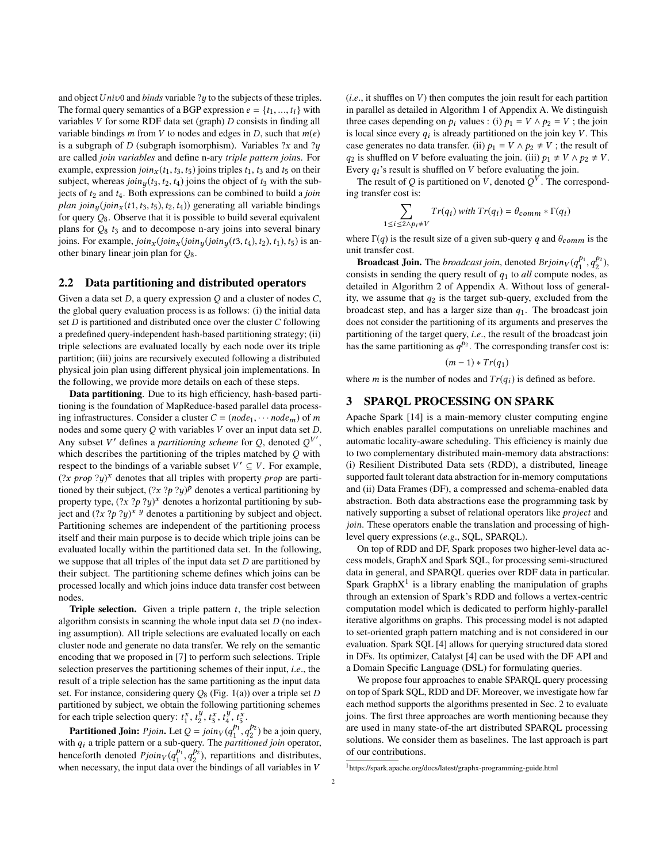and object  $Univ0$  and *binds* variable ? $y$  to the subjects of these triples. The formal query semantics of a BGP expression  $e = \{t_1, ..., t_i\}$  with variables V for some RDF data set (graph) D consists in finding all variable bindings m from V to nodes and edges in D, such that  $m(e)$ is a subgraph of D (subgraph isomorphism). Variables  $2x$  and  $2y$ are called *join variables* and define n-ary *triple pattern join*s. For example, expression  $\text{join}_x(t_1, t_3, t_5)$  joins triples  $t_1, t_3$  and  $t_5$  on their subject, whereas  $\sin u_t(t_3, t_2, t_4)$  joins the object of  $t_3$  with the subjects of <sup>t</sup><sup>2</sup> and <sup>t</sup>4. Both expressions can be combined to build a *join plan* join<sub>u</sub>(join<sub>x</sub>(t1,t<sub>3</sub>,t<sub>5</sub>),t<sub>2</sub>,t<sub>4</sub>)) generating all variable bindings for query  $Q_8$ . Observe that it is possible to build several equivalent plans for  $Q_8$  t<sub>3</sub> and to decompose n-ary joins into several binary joins. For example,  $\text{join}_x(\text{join}_u(\text{join}_u(t3, t_4), t_2), t_1), t_5)$  is another binary linear join plan for  $Q_8$ .

#### <span id="page-1-1"></span>2.2 Data partitioning and distributed operators

Given a data set  $D$ , a query expression  $Q$  and a cluster of nodes  $C$ , the global query evaluation process is as follows: (i) the initial data set D is partitioned and distributed once over the cluster C following a predefined query-independent hash-based partitioning strategy; (ii) triple selections are evaluated locally by each node over its triple partition; (iii) joins are recursively executed following a distributed physical join plan using different physical join implementations. In the following, we provide more details on each of these steps.

Data partitioning. Due to its high efficiency, hash-based partitioning is the foundation of MapReduce-based parallel data processing infrastructures. Consider a cluster  $C = (node_1, \cdots node_m)$  of m nodes and some query Q with variables V over an input data set D. Any subset V' defines a *partitioning scheme* for Q, denoted  $Q^{V'}$ , which describes the partitioning of the triples matched by Q with which describes the partitioning of the triples matched by  $Q$  with respect to the bindings of a variable subset  $V' \subseteq V$ . For example,<br>(2x exce 2y)<sup>X</sup> denotes that all triples with property exce are parti- $(2x \text{ prop } 2y)^x$  denotes that all triples with property *prop* are partitioned by their subject  $(2x, 2h, 2y)^p$  denotes a vertical partitioning by tioned by their subject,  $(2x 2p 2y)^p$  denotes a vertical partitioning by<br>property type  $(2x 2p 2y)^x$  denotes a borizontal partitioning by subproperty type,  $(?x ?p ?y)^x$  denotes a horizontal partitioning by sub-<br>ject and  $(?x ?p ?y)^x$  y denotes a partitioning by subject and object ject and  $(?x ?p ?y)$ <sup>x y</sup> denotes a partitioning by subject and object.<br>Partitioning schames are independent of the partitioning process Partitioning schemes are independent of the partitioning process itself and their main purpose is to decide which triple joins can be evaluated locally within the partitioned data set. In the following, we suppose that all triples of the input data set  $D$  are partitioned by their subject. The partitioning scheme defines which joins can be processed locally and which joins induce data transfer cost between nodes.

Triple selection. Given a triple pattern  $t$ , the triple selection algorithm consists in scanning the whole input data set D (no indexing assumption). All triple selections are evaluated locally on each cluster node and generate no data transfer. We rely on the semantic encoding that we proposed in [\[7\]](#page-5-4) to perform such selections. Triple selection preserves the partitioning schemes of their input, *i*.*e*., the result of a triple selection has the same partitioning as the input data set. For instance, considering query  $Q_8$  (Fig. [1\(](#page-0-0)a)) over a triple set D partitioned by subject, we obtain the following partitioning schemes for each triple selection query:  $t_1^x$ ,  $t_2^y$ ,  $t_3^x$ ,  $t_4^y$ ,  $t_5^x$ .

**Partitioned Join:** *Pjoin*. Let  $Q = joiny(q_1^{p_1}, q_2^{p_2})$  be a join query, h  $q_2$  a triple pattern or a sub-query. The *partitioned join* operator with q<sub>i</sub> a triple pattern or a sub-query. The *partitioned join* operator,<br>because the density of  $q_1^2$  and  $q_2^2$  is partitioned join operator, henceforth denoted  $Pjoiny(q_1^{p_1}, q_2^{p_2})$ , repartitions and distributes,<br>when necessary the input data over the bindings of all variables in V. when necessary, the input data over the bindings of all variables in  $V$ 

 $(i.e., it shiffles on V)$  then computes the join result for each partition in parallel as detailed in Algorithm [1](#page-6-1) of Appendix [A.](#page-6-2) We distinguish three cases depending on  $p_i$  values : (i)  $p_1 = V \wedge p_2 = V$ ; the join is local since every  $q_i$  is already partitioned on the join key V. This case generates no data transfer (ii)  $p_i = V \wedge p_0 + V$ ; the result of case generates no data transfer. (ii)  $p_1 = V \wedge p_2 \neq V$ ; the result of  $q_2$  is shuffled on V before evaluating the join. (iii)  $p_1 \neq V \wedge p_2 \neq V$ . Every  $q_i$ 's result is shuffled on V before evaluating the join.

The result of Q is partitioned on V, denoted  $Q^V$ . The correspond-<br>transfer cost is: ing transfer cost is:

$$
\sum_{1 \le i \le 2 \land p_i \neq V} Tr(q_i) \text{ with } Tr(q_i) = \theta_{comm} * \Gamma(q_i)
$$

where  $\Gamma(q)$  is the result size of a given sub-query q and  $\theta_{comm}$  is the unit transfer cost.

**Broadcast Join.** The *broadcast join*, denoted *Brjoin*  $v(q_1^{p_1}, q_2^{p_2})$ , points in sending the query result of  $q_1$  to all compute nodes as  $\frac{1}{2}$ , consists in sending the query result of  $q_1$  to *all* compute nodes, as detailed in Algorithm [2](#page-6-3) of Appendix [A.](#page-6-2) Without loss of generality, we assume that  $q_2$  is the target sub-query, excluded from the broadcast step, and has a larger size than  $q_1$ . The broadcast join does not consider the partitioning of its arguments and preserves the partitioning of the target query, *i*.*e*., the result of the broadcast join has the same partitioning as  $q^{p_2}$ . The corresponding transfer cost is:

$$
(m-1)*Tr(q_1)
$$

where *m* is the number of nodes and  $Tr(q_i)$  is defined as before.

## <span id="page-1-2"></span>3 SPARQL PROCESSING ON SPARK

Apache Spark [\[14\]](#page-5-1) is a main-memory cluster computing engine which enables parallel computations on unreliable machines and automatic locality-aware scheduling. This efficiency is mainly due to two complementary distributed main-memory data abstractions: (i) Resilient Distributed Data sets (RDD), a distributed, lineage supported fault tolerant data abstraction for in-memory computations and (ii) Data Frames (DF), a compressed and schema-enabled data abstraction. Both data abstractions ease the programming task by natively supporting a subset of relational operators like project and join. These operators enable the translation and processing of highlevel query expressions (*e*.*g*., SQL, SPARQL).

On top of RDD and DF, Spark proposes two higher-level data access models, GraphX and Spark SQL, for processing semi-structured data in general, and SPARQL queries over RDF data in particular. Spark Graph $X<sup>1</sup>$  $X<sup>1</sup>$  $X<sup>1</sup>$  is a library enabling the manipulation of graphs through an extension of Spark's RDD and follows a vertex-centric computation model which is dedicated to perform highly-parallel iterative algorithms on graphs. This processing model is not adapted to set-oriented graph pattern matching and is not considered in our evaluation. Spark SQL [\[4\]](#page-5-5) allows for querying structured data stored in DFs. Its optimizer, Catalyst [\[4\]](#page-5-5) can be used with the DF API and a Domain Specific Language (DSL) for formulating queries.

We propose four approaches to enable SPARQL query processing on top of Spark SQL, RDD and DF. Moreover, we investigate how far each method supports the algorithms presented in Sec. [2](#page-0-1) to evaluate joins. The first three approaches are worth mentioning because they are used in many state-of-the art distributed SPARQL processing solutions. We consider them as baselines. The last approach is part of our contributions.

<span id="page-1-0"></span><sup>1</sup> https://spark.apache.org/docs/latest/graphx-programming-guide.html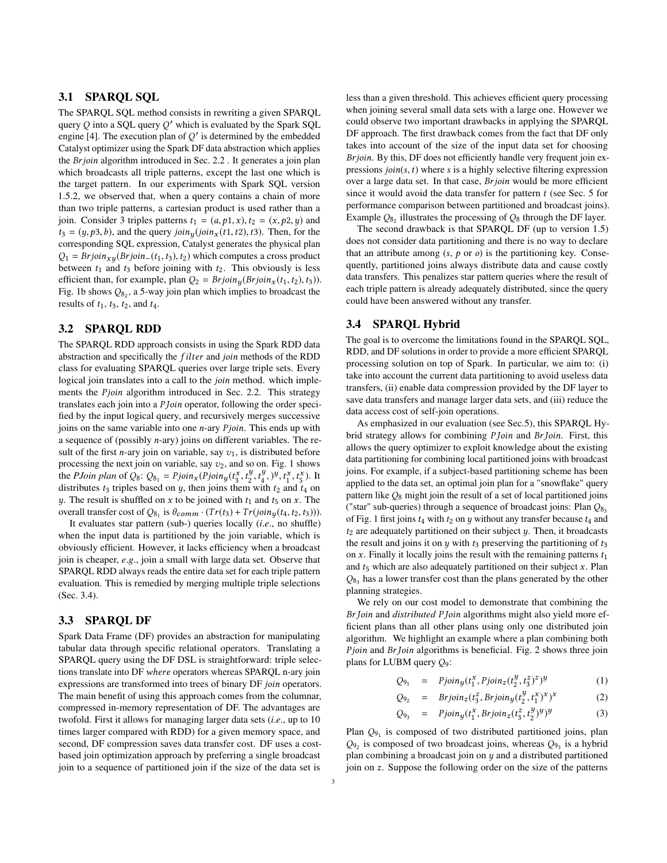#### 3.1 SPARQL SQL

The SPARQL SQL method consists in rewriting a given SPARQL query Q into a SQL query  $Q'$  which is evaluated by the Spark SQL<br>engine [4]. The execution plan of  $Q'$  is determined by the embedded engine [\[4\]](#page-5-5). The execution plan of  $Q'$  is determined by the embedded Catalyst optimizer using the Spark DE data abstraction which applies Catalyst optimizer using the Spark DF data abstraction which applies the Brjoin algorithm introduced in Sec. [2.2](#page-1-1) . It generates a join plan which broadcasts all triple patterns, except the last one which is the target pattern. In our experiments with Spark SQL version 1.5.2, we observed that, when a query contains a chain of more than two triple patterns, a cartesian product is used rather than a join. Consider 3 triples patterns  $t_1 = (a, p_1, x), t_2 = (x, p_2, y)$  and  $t_3 = (y, p3, b)$ , and the query join<sub>u</sub>(join<sub>x</sub>(t1, t2), t3). Then, for the corresponding SQL expression, Catalyst generates the physical plan  $Q_1 = Brioin_{xy}(Brjoin_{-}(t_1,t_3),t_2)$  which computes a cross product between  $t_1$  and  $t_3$  before joining with  $t_2$ . This obviously is less efficient than, for example, plan  $Q_2 = Brjoin_y(Brjoin_x(t_1, t_2), t_3))$ . Fig. [1b](#page-0-0) shows  $Q_{8_2}$ , a 5-way join plan which implies to broadcast the results of the to- and the results of  $t_1$ ,  $t_3$ ,  $t_2$ , and  $t_4$ .

## 3.2 SPARQL RDD

The SPARQL RDD approach consists in using the Spark RDD data abstraction and specifically the f ilter and join methods of the RDD class for evaluating SPARQL queries over large triple sets. Every logical join translates into a call to the join method. which implements the Pjoin algorithm introduced in Sec. [2.2.](#page-1-1) This strategy translates each join into a *P Join* operator, following the order specified by the input logical query, and recursively merges successive joins on the same variable into one  $n$ -ary  $P$ *join*. This ends up with a sequence of (possibly n-ary) joins on different variables. The result of the first *n*-ary join on variable, say  $v_1$ , is distributed before processing the next join on variable, say  $v_2$ , and so on. Fig. [1](#page-0-0) shows the *PJoin plan* of  $Q_8$ :  $Q_{8_1} = Pjoin_x(Pjoin_y(t_3^x, t_2^y, t_4^y, y^y, t_1^x, t_5^x)$ . It  $\frac{1}{2}$ , the second on y, then joins them with  $t_2$  and  $t_4$  on  $t_5$ .<br>The result is shuffled on y, the joins them with  $t_2$  and  $t_4$  on  $\chi$ . The y. The result is shuffled on x to be joined with  $t_1$  and  $t_5$  on x. The overall transfer cost of  $Q_{8_1}$  is  $\theta_{comm} \cdot (Tr(t_3) + Tr(join_y(t_4, t_2, t_3))).$ <br>It evaluates star pattern (sub.) queries locally (i.e., no shuffle)

It evaluates star pattern (sub-) queries locally (*i*.*e*., no shuffle) when the input data is partitioned by the join variable, which is obviously efficient. However, it lacks efficiency when a broadcast join is cheaper, *e*.*g*., join a small with large data set. Observe that SPARQL RDD always reads the entire data set for each triple pattern evaluation. This is remedied by merging multiple triple selections (Sec. [3.4\)](#page-3-0).

#### 3.3 SPARQL DF

Spark Data Frame (DF) provides an abstraction for manipulating tabular data through specific relational operators. Translating a SPARQL query using the DF DSL is straightforward: triple selections translate into DF where operators whereas SPARQL n-ary join expressions are transformed into trees of binary DF join operators. The main benefit of using this approach comes from the columnar, compressed in-memory representation of DF. The advantages are twofold. First it allows for managing larger data sets (*i*.*e*., up to 10 times larger compared with RDD) for a given memory space, and second, DF compression saves data transfer cost. DF uses a costbased join optimization approach by preferring a single broadcast join to a sequence of partitioned join if the size of the data set is

less than a given threshold. This achieves efficient query processing when joining several small data sets with a large one. However we could observe two important drawbacks in applying the SPARQL DF approach. The first drawback comes from the fact that DF only takes into account of the size of the input data set for choosing Brjoin. By this, DF does not efficiently handle very frequent join expressions  $\text{join}(s, t)$  where s is a highly selective filtering expression over a large data set. In that case, Brjoin would be more efficient since it would avoid the data transfer for pattern  $t$  (see Sec. [5](#page-4-0) for performance comparison between partitioned and broadcast joins). Example  $Q_{8_2}$  illustrates the processing of  $Q_8$  through the DF layer.<br>The second drawback is that SPAROL DE (up to version 1.5)

The second drawback is that SPARQL DF (up to version 1.5) does not consider data partitioning and there is no way to declare that an attribute among  $(s, p \text{ or } o)$  is the partitioning key. Consequently, partitioned joins always distribute data and cause costly data transfers. This penalizes star pattern queries where the result of each triple pattern is already adequately distributed, since the query could have been answered without any transfer.

#### 3.4 SPARQL Hybrid

The goal is to overcome the limitations found in the SPARQL SQL, RDD, and DF solutions in order to provide a more efficient SPARQL processing solution on top of Spark. In particular, we aim to: (i) take into account the current data partitioning to avoid useless data transfers, (ii) enable data compression provided by the DF layer to save data transfers and manage larger data sets, and (iii) reduce the data access cost of self-join operations.

As emphasized in our evaluation (see Sec[.5\)](#page-4-0), this SPARQL Hybrid strategy allows for combining P Join and Br Join. First, this allows the query optimizer to exploit knowledge about the existing data partitioning for combining local partitioned joins with broadcast joins. For example, if a subject-based partitioning scheme has been applied to the data set, an optimal join plan for a "snowflake" query pattern like  $Q_8$  might join the result of a set of local partitioned joins ("star" sub-queries) through a sequence of broadcast joins: Plan  $Q_{83}$ of Fig. [1](#page-0-0) first joins  $t_4$  with  $t_2$  on y without any transfer because  $t_4$  and  $t_2$  are adequately partitioned on their subject  $y$ . Then, it broadcasts the result and joins it on  $y$  with  $t_3$  preserving the partitioning of  $t_3$ on x. Finally it locally joins the result with the remaining patterns  $t_1$ and  $t_5$  which are also adequately partitioned on their subject x. Plan  $Q_{83}$  has a lower transfer cost than the plans generated by the other<br>planning strategies planning strategies.

We rely on our cost model to demonstrate that combining the BrJoin and *distributed* P Join algorithms might also yield more efficient plans than all other plans using only one distributed join algorithm. We highlight an example where a plan combining both Pjoin and BrJoin algorithms is beneficial. Fig. [2](#page-3-1) shows three join plans for LUBM query  $Q_9$ :

$$
Q_{9_1} = Pjoin_y(t_1^x, Pjoin_z(t_2^y, t_3^z)^2)^y \tag{1}
$$

$$
Q_{9_2} = Brjoin_z(t_3^z, Brjoin_y(t_2^y, t_1^x)^x)
$$
 (2)

$$
Q_{9_3} = Pjoin_y(t_1^x, Brjoin_z(t_3^x, t_2^y)^y)^y
$$
 (3)

Plan  $Q_{91}$  is composed of two distributed partitioned joins, plan<br>On is composed of two broadcast joins, whereas  $Q_0$  is a hybrid  $Q_{9_2}$  is composed of two broadcast joins, whereas  $Q_{9_3}$  is a hybrid<br>plan combining a broadcast join on u and a distributed partitioned plan combining a broadcast join on  $y$  and a distributed partitioned join on z. Suppose the following order on the size of the patterns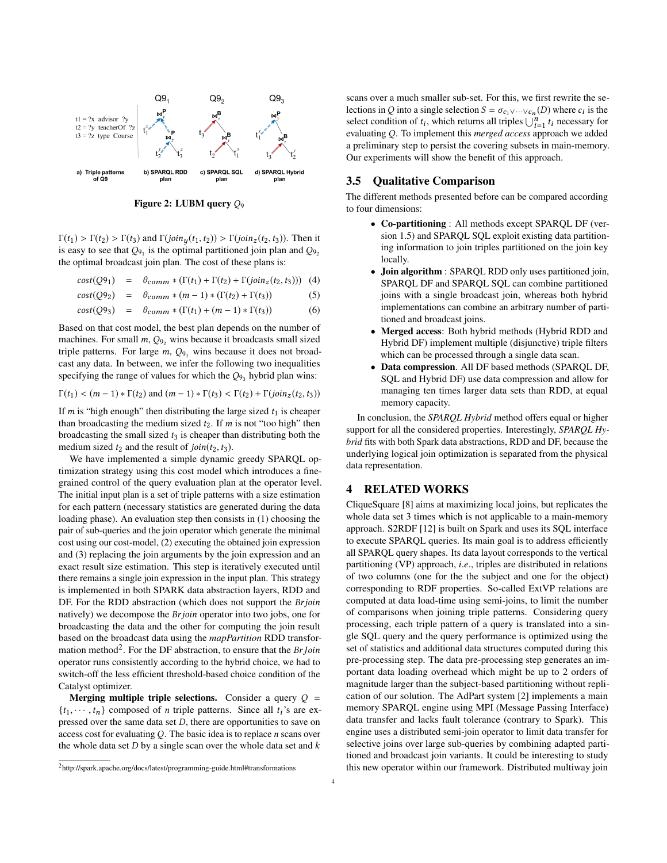<span id="page-3-1"></span>

Figure 2: LUBM query <sup>Q</sup><sup>9</sup>

 $\Gamma(t_1) > \Gamma(t_2) > \Gamma(t_3)$  and  $\Gamma(join_y(t_1, t_2)) > \Gamma(join_z(t_2, t_3))$ . Then it is easy to see that  $Q_{9_1}$  is the optimal partitioned join plan and  $Q_{9_2}$ <br>the optimal proadcast join plan. The cost of these plans is: the optimal broadcast join plan. The cost of these plans is:

<span id="page-3-0"></span>cost(Q9<sub>1</sub>) = 
$$
\theta_{comm} * (\Gamma(t_1) + \Gamma(t_2) + \Gamma(join_z(t_2, t_3)))
$$
 (4)

$$
cost(Q92) = \theta_{comm} * (m-1) * (\Gamma(t2) + \Gamma(t3))
$$
(5)

cost(Q9<sub>3</sub>) = 
$$
\theta_{comm} * (\Gamma(t_1) + (m-1) * \Gamma(t_3))
$$
 (6)

Based on that cost model, the best plan depends on the number of machines. For small  $m$ ,  $Q_{9_2}$  wins because it broadcasts small sized triple patterns. For large  $m$ ,  $Q_{9_1}$  wins because it does not broadcast any data. In between, we infer the following two inequalities specifying the range of values for which the  $Q_{9_3}$  hybrid plan wins:

$$
\Gamma(t_1) < (m-1) * \Gamma(t_2) \text{ and } (m-1) * \Gamma(t_3) < \Gamma(t_2) + \Gamma(join_z(t_2, t_3))
$$

If m is "high enough" then distributing the large sized  $t_1$  is cheaper than broadcasting the medium sized  $t_2$ . If m is not "too high" then broadcasting the small sized  $t_3$  is cheaper than distributing both the medium sized  $t_2$  and the result of join( $t_2, t_3$ ).

We have implemented a simple dynamic greedy SPARQL optimization strategy using this cost model which introduces a finegrained control of the query evaluation plan at the operator level. The initial input plan is a set of triple patterns with a size estimation for each pattern (necessary statistics are generated during the data loading phase). An evaluation step then consists in (1) choosing the pair of sub-queries and the join operator which generate the minimal cost using our cost-model, (2) executing the obtained join expression and (3) replacing the join arguments by the join expression and an exact result size estimation. This step is iteratively executed until there remains a single join expression in the input plan. This strategy is implemented in both SPARK data abstraction layers, RDD and DF. For the RDD abstraction (which does not support the Brjoin natively) we decompose the Brjoin operator into two jobs, one for broadcasting the data and the other for computing the join result based on the broadcast data using the *mapPartition* RDD transfor-mation method<sup>[2](#page-3-2)</sup>. For the DF abstraction, to ensure that the *Br Join*<br>operator runs consistently according to the hybrid choice, we had to operator runs consistently according to the hybrid choice, we had to switch-off the less efficient threshold-based choice condition of the Catalyst optimizer.

**Merging multiple triple selections.** Consider a query  $Q =$  $\{t_1, \dots, t_n\}$  composed of *n* triple patterns. Since all  $t_i$ 's are expressed over the same data set D, there are opportunities to save on access cost for evaluating  $Q$ . The basic idea is to replace  $n$  scans over the whole data set  $D$  by a single scan over the whole data set and  $k$ 

scans over a much smaller sub-set. For this, we first rewrite the selections in Q into a single selection  $S = \sigma_{c_1 \vee \cdots \vee c_n}(D)$  where  $c_i$  is the select condition of ty which returns all triples  $\|\cdot\|^n$  ty pecessary for select condition of  $t_i$ , which returns all triples  $\bigcup_{i=1}^n t_i$  necessary for<br>evaluating O. To implement this *mateed access* approach we added evaluating Q. To implement this *merged access* approach we added<br>a preliminary step to persist the covering subsets in main memory a preliminary step to persist the covering subsets in main-memory. Our experiments will show the benefit of this approach.

## 3.5 Qualitative Comparison

The different methods presented before can be compared according to four dimensions:

- Co-partitioning : All methods except SPARQL DF (version 1.5) and SPARQL SQL exploit existing data partitioning information to join triples partitioned on the join key locally.
- Join algorithm : SPARQL RDD only uses partitioned join, SPARQL DF and SPARQL SQL can combine partitioned joins with a single broadcast join, whereas both hybrid implementations can combine an arbitrary number of partitioned and broadcast joins.
- Merged access: Both hybrid methods (Hybrid RDD and Hybrid DF) implement multiple (disjunctive) triple filters which can be processed through a single data scan.
- Data compression. All DF based methods (SPARQL DF, SQL and Hybrid DF) use data compression and allow for managing ten times larger data sets than RDD, at equal memory capacity.

In conclusion, the *SPARQL Hybrid* method offers equal or higher support for all the considered properties. Interestingly, *SPARQL Hybrid* fits with both Spark data abstractions, RDD and DF, because the underlying logical join optimization is separated from the physical data representation.

#### 4 RELATED WORKS

CliqueSquare [\[8\]](#page-5-6) aims at maximizing local joins, but replicates the whole data set 3 times which is not applicable to a main-memory approach. S2RDF [\[12\]](#page-5-7) is built on Spark and uses its SQL interface to execute SPARQL queries. Its main goal is to address efficiently all SPARQL query shapes. Its data layout corresponds to the vertical partitioning (VP) approach, *i*.*e*., triples are distributed in relations of two columns (one for the the subject and one for the object) corresponding to RDF properties. So-called ExtVP relations are computed at data load-time using semi-joins, to limit the number of comparisons when joining triple patterns. Considering query processing, each triple pattern of a query is translated into a single SQL query and the query performance is optimized using the set of statistics and additional data structures computed during this pre-processing step. The data pre-processing step generates an important data loading overhead which might be up to 2 orders of magnitude larger than the subject-based partitioning without replication of our solution. The AdPart system [\[2\]](#page-5-8) implements a main memory SPARQL engine using MPI (Message Passing Interface) data transfer and lacks fault tolerance (contrary to Spark). This engine uses a distributed semi-join operator to limit data transfer for selective joins over large sub-queries by combining adapted partitioned and broadcast join variants. It could be interesting to study this new operator within our framework. Distributed multiway join

<span id="page-3-2"></span><sup>2</sup> http://spark.apache.org/docs/latest/programming-guide.html#transformations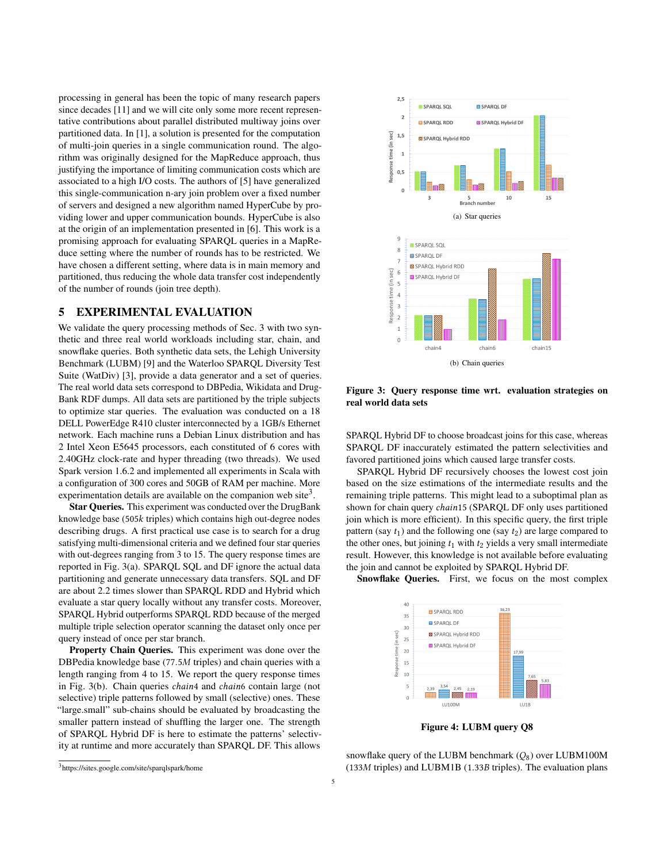processing in general has been the topic of many research papers since decades [\[11\]](#page-5-9) and we will cite only some more recent representative contributions about parallel distributed multiway joins over partitioned data. In [\[1\]](#page-5-10), a solution is presented for the computation of multi-join queries in a single communication round. The algorithm was originally designed for the MapReduce approach, thus justifying the importance of limiting communication costs which are associated to a high I/O costs. The authors of [\[5\]](#page-5-11) have generalized this single-communication n-ary join problem over a fixed number of servers and designed a new algorithm named HyperCube by providing lower and upper communication bounds. HyperCube is also at the origin of an implementation presented in [\[6\]](#page-5-12). This work is a promising approach for evaluating SPARQL queries in a MapReduce setting where the number of rounds has to be restricted. We have chosen a different setting, where data is in main memory and partitioned, thus reducing the whole data transfer cost independently of the number of rounds (join tree depth).

## <span id="page-4-0"></span>5 EXPERIMENTAL EVALUATION

We validate the query processing methods of Sec. [3](#page-1-2) with two synthetic and three real world workloads including star, chain, and snowflake queries. Both synthetic data sets, the Lehigh University Benchmark (LUBM) [\[9\]](#page-5-13) and the Waterloo SPARQL Diversity Test Suite (WatDiv) [\[3\]](#page-5-14), provide a data generator and a set of queries. The real world data sets correspond to DBPedia, Wikidata and Drug-Bank RDF dumps. All data sets are partitioned by the triple subjects to optimize star queries. The evaluation was conducted on a 18 DELL PowerEdge R410 cluster interconnected by a 1GB/s Ethernet network. Each machine runs a Debian Linux distribution and has 2 Intel Xeon E5645 processors, each constituted of 6 cores with 2.40GHz clock-rate and hyper threading (two threads). We used Spark version 1.6.2 and implemented all experiments in Scala with a configuration of 300 cores and 50GB of RAM per machine. More experimentation details are available on the companion web site $3$ .

Star Queries. This experiment was conducted over the DrugBank knowledge base (505k triples) which contains high out-degree nodes describing drugs. A first practical use case is to search for a drug satisfying multi-dimensional criteria and we defined four star queries with out-degrees ranging from 3 to 15. The query response times are reported in Fig. [3\(](#page-4-2)a). SPARQL SQL and DF ignore the actual data partitioning and generate unnecessary data transfers. SQL and DF are about 2.2 times slower than SPARQL RDD and Hybrid which evaluate a star query locally without any transfer costs. Moreover, SPARQL Hybrid outperforms SPARQL RDD because of the merged multiple triple selection operator scanning the dataset only once per query instead of once per star branch.

Property Chain Queries. This experiment was done over the DBPedia knowledge base (77.5M triples) and chain queries with a length ranging from 4 to 15. We report the query response times in Fig. [3\(](#page-4-2)b). Chain queries chain<sup>4</sup> and chain<sup>6</sup> contain large (not selective) triple patterns followed by small (selective) ones. These "large.small" sub-chains should be evaluated by broadcasting the smaller pattern instead of shuffling the larger one. The strength of SPARQL Hybrid DF is here to estimate the patterns' selectivity at runtime and more accurately than SPARQL DF. This allows

<span id="page-4-2"></span>

Figure 3: Query response time wrt. evaluation strategies on real world data sets

SPARQL Hybrid DF to choose broadcast joins for this case, whereas SPARQL DF inaccurately estimated the pattern selectivities and favored partitioned joins which caused large transfer costs.

SPARQL Hybrid DF recursively chooses the lowest cost join based on the size estimations of the intermediate results and the remaining triple patterns. This might lead to a suboptimal plan as shown for chain query chain<sup>15</sup> (SPARQL DF only uses partitioned join which is more efficient). In this specific query, the first triple pattern (say  $t_1$ ) and the following one (say  $t_2$ ) are large compared to the other ones, but joining  $t_1$  with  $t_2$  yields a very small intermediate result. However, this knowledge is not available before evaluating the join and cannot be exploited by SPARQL Hybrid DF.

<span id="page-4-3"></span>Snowflake Queries. First, we focus on the most complex



Figure 4: LUBM query Q8

snowflake query of the LUBM benchmark  $(Q_8)$  over LUBM100M (133M triples) and LUBM1B (1.33B triples). The evaluation plans

<span id="page-4-1"></span><sup>3</sup> https://sites.google.com/site/sparqlspark/home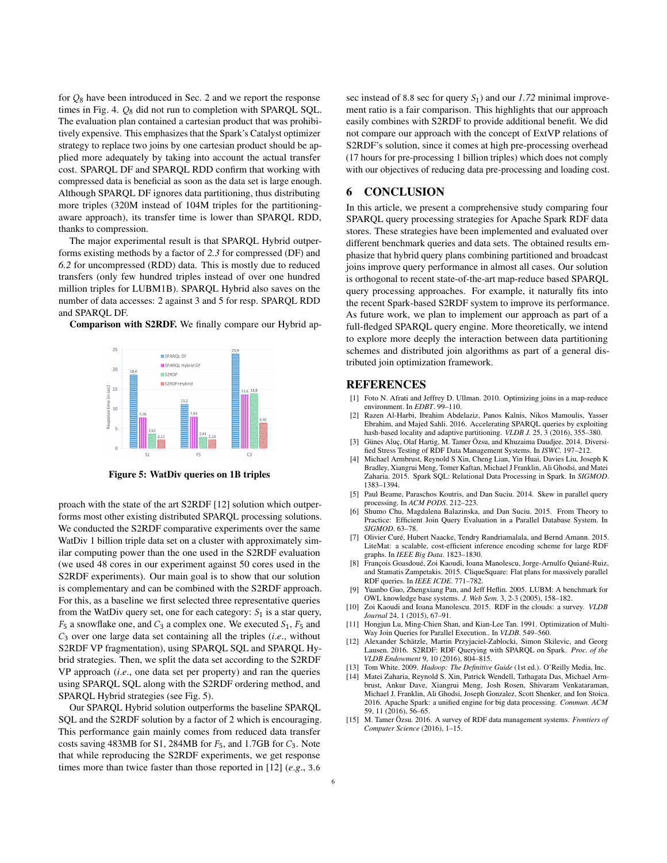for  $Q_8$  have been introduced in Sec. [2](#page-0-1) and we report the response times in Fig. [4.](#page-4-3)  $Q_8$  did not run to completion with SPARQL SQL. The evaluation plan contained a cartesian product that was prohibitively expensive. This emphasizes that the Spark's Catalyst optimizer strategy to replace two joins by one cartesian product should be applied more adequately by taking into account the actual transfer cost. SPARQL DF and SPARQL RDD confirm that working with compressed data is beneficial as soon as the data set is large enough. Although SPARQL DF ignores data partitioning, thus distributing more triples (320M instead of 104M triples for the partitioningaware approach), its transfer time is lower than SPARQL RDD, thanks to compression.

The major experimental result is that SPARQL Hybrid outperforms existing methods by a factor of *2.3* for compressed (DF) and *6.2* for uncompressed (RDD) data. This is mostly due to reduced transfers (only few hundred triples instead of over one hundred million triples for LUBM1B). SPARQL Hybrid also saves on the number of data accesses: 2 against 3 and 5 for resp. SPARQL RDD and SPARQL DF.

<span id="page-5-15"></span>Comparison with S2RDF. We finally compare our Hybrid ap-



Figure 5: WatDiv queries on 1B triples

proach with the state of the art S2RDF [\[12\]](#page-5-7) solution which outperforms most other existing distributed SPARQL processing solutions. We conducted the S2RDF comparative experiments over the same WatDiv 1 billion triple data set on a cluster with approximately similar computing power than the one used in the S2RDF evaluation (we used 48 cores in our experiment against 50 cores used in the S2RDF experiments). Our main goal is to show that our solution is complementary and can be combined with the S2RDF approach. For this, as a baseline we first selected three representative queries from the WatDiv query set, one for each category:  $S_1$  is a star query,  $F_5$  a snowflake one, and  $C_3$  a complex one. We executed  $S_1$ ,  $F_5$  and  $C_3$  over one large data set containing all the triples (*i.e.*, without S2RDF VP fragmentation), using SPARQL SQL and SPARQL Hybrid strategies. Then, we split the data set according to the S2RDF VP approach (*i*.*e*., one data set per property) and ran the queries using SPARQL SQL along with the S2RDF ordering method, and SPARQL Hybrid strategies (see Fig. [5\)](#page-5-15).

Our SPARQL Hybrid solution outperforms the baseline SPARQL SQL and the S2RDF solution by a factor of 2 which is encouraging. This performance gain mainly comes from reduced data transfer costs saving 483MB for S1, 284MB for F5, and 1.7GB for C3. Note that while reproducing the S2RDF experiments, we get response times more than twice faster than those reported in [\[12\]](#page-5-7) (*e*.*g*., <sup>3</sup>.<sup>6</sup>

sec instead of 8.8 sec for query  $S_1$ ) and our *1.72* minimal improvement ratio is a fair comparison. This highlights that our approach easily combines with S2RDF to provide additional benefit. We did not compare our approach with the concept of ExtVP relations of S2RDF's solution, since it comes at high pre-processing overhead (17 hours for pre-processing 1 billion triples) which does not comply with our objectives of reducing data pre-processing and loading cost.

## 6 CONCLUSION

In this article, we present a comprehensive study comparing four SPARQL query processing strategies for Apache Spark RDF data stores. These strategies have been implemented and evaluated over different benchmark queries and data sets. The obtained results emphasize that hybrid query plans combining partitioned and broadcast joins improve query performance in almost all cases. Our solution is orthogonal to recent state-of-the-art map-reduce based SPARQL query processing approaches. For example, it naturally fits into the recent Spark-based S2RDF system to improve its performance. As future work, we plan to implement our approach as part of a full-fledged SPARQL query engine. More theoretically, we intend to explore more deeply the interaction between data partitioning schemes and distributed join algorithms as part of a general distributed join optimization framework.

#### REFERENCES

- <span id="page-5-10"></span>[1] Foto N. Afrati and Jeffrey D. Ullman. 2010. Optimizing joins in a map-reduce environment. In *EDBT*. 99–110.
- <span id="page-5-8"></span>[2] Razen Al-Harbi, Ibrahim Abdelaziz, Panos Kalnis, Nikos Mamoulis, Yasser Ebrahim, and Majed Sahli. 2016. Accelerating SPARQL queries by exploiting hash-based locality and adaptive partitioning. *VLDB J.* 25, 3 (2016), 355–380.
- <span id="page-5-14"></span>Günes Aluç, Olaf Hartig, M. Tamer Özsu, and Khuzaima Daudjee. 2014. Diversified Stress Testing of RDF Data Management Systems. In *ISWC*. 197–212.
- <span id="page-5-5"></span>[4] Michael Armbrust, Reynold S Xin, Cheng Lian, Yin Huai, Davies Liu, Joseph K Bradley, Xiangrui Meng, Tomer Kaftan, Michael J Franklin, Ali Ghodsi, and Matei Zaharia. 2015. Spark SQL: Relational Data Processing in Spark. In *SIGMOD*. 1383–1394.
- <span id="page-5-11"></span>[5] Paul Beame, Paraschos Koutris, and Dan Suciu. 2014. Skew in parallel query processing. In *ACM PODS*. 212–223.
- <span id="page-5-12"></span>[6] Shumo Chu, Magdalena Balazinska, and Dan Suciu. 2015. From Theory to Practice: Efficient Join Query Evaluation in a Parallel Database System. In *SIGMOD*. 63–78.
- <span id="page-5-4"></span>[7] Olivier Curé, Hubert Naacke, Tendry Randriamalala, and Bernd Amann. 2015. LiteMat: a scalable, cost-efficient inference encoding scheme for large RDF graphs. In *IEEE Big Data*. 1823–1830.
- <span id="page-5-6"></span>[8] François Goasdoué, Zoi Kaoudi, Ioana Manolescu, Jorge-Arnulfo Quiané-Ruiz, and Stamatis Zampetakis. 2015. CliqueSquare: Flat plans for massively parallel RDF queries. In *IEEE ICDE*. 771–782.
- <span id="page-5-13"></span>[9] Yuanbo Guo, Zhengxiang Pan, and Jeff Heflin. 2005. LUBM: A benchmark for OWL knowledge base systems. *J. Web Sem.* 3, 2-3 (2005), 158–182.
- <span id="page-5-2"></span>[10] Zoi Kaoudi and Ioana Manolescu. 2015. RDF in the clouds: a survey. *VLDB Journal* 24, 1 (2015), 67–91.
- <span id="page-5-9"></span>[11] Hongjun Lu, Ming-Chien Shan, and Kian-Lee Tan. 1991. Optimization of Multi-Way Join Queries for Parallel Execution.. In *VLDB*. 549–560.
- <span id="page-5-7"></span>[12] Alexander Schätzle, Martin Przyjaciel-Zablocki, Simon Skilevic, and Georg Lausen. 2016. S2RDF: RDF Querying with SPARQL on Spark. *Proc. of the VLDB Endowment* 9, 10 (2016), 804–815.
- <span id="page-5-0"></span>[13] Tom White. 2009. *Hadoop: The Definitive Guide* (1st ed.). O'Reilly Media, Inc.
- <span id="page-5-1"></span>[14] Matei Zaharia, Reynold S. Xin, Patrick Wendell, Tathagata Das, Michael Armbrust, Ankur Dave, Xiangrui Meng, Josh Rosen, Shivaram Venkataraman, Michael J. Franklin, Ali Ghodsi, Joseph Gonzalez, Scott Shenker, and Ion Stoica. 2016. Apache Spark: a unified engine for big data processing. *Commun. ACM* 59, 11 (2016), 56–65.
- <span id="page-5-3"></span>[15] M. Tamer Özsu. 2016. A survey of RDF data management systems. *Frontiers of Computer Science* (2016), 1–15.